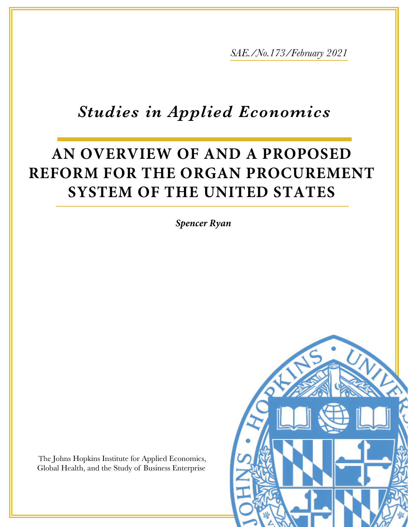*SAE./No.173/February 2021*

## *Studies in Applied Economics*

# **AN OVERVIEW OF AND A PROPOSED REFORM FOR THE ORGAN PROCUREMENT SYSTEM OF THE UNITED STATES**

*Spencer Ryan*

The Johns Hopkins Institute for Applied Economics, Global Health, and the Study of Business Enterprise

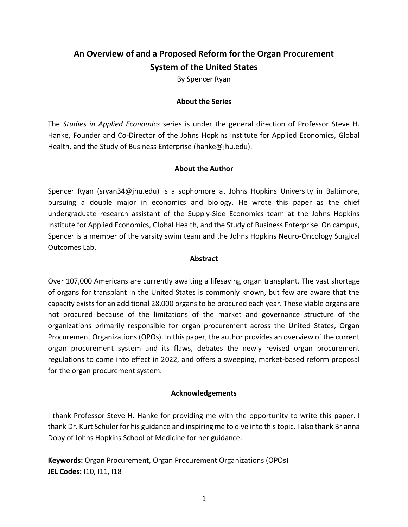### **An Overview of and a Proposed Reform for the Organ Procurement System of the United States**

By Spencer Ryan

#### **About the Series**

The *Studies in Applied Economics* series is under the general direction of Professor Steve H. Hanke, Founder and Co-Director of the Johns Hopkins Institute for Applied Economics, Global Health, and the Study of Business Enterprise [\(hanke@jhu.edu\)](mailto:hanke@jhu.edu).

#### **About the Author**

Spencer Ryan [\(sryan34@jhu.edu\)](mailto:sryan34@jhu.edu) is a sophomore at Johns Hopkins University in Baltimore, pursuing a double major in economics and biology. He wrote this paper as the chief undergraduate research assistant of the Supply-Side Economics team at the Johns Hopkins Institute for Applied Economics, Global Health, and the Study of Business Enterprise. On campus, Spencer is a member of the varsity swim team and the Johns Hopkins Neuro-Oncology Surgical Outcomes Lab.

#### **Abstract**

Over 107,000 Americans are currently awaiting a lifesaving organ transplant. The vast shortage of organs for transplant in the United States is commonly known, but few are aware that the capacity exists for an additional 28,000 organs to be procured each year. These viable organs are not procured because of the limitations of the market and governance structure of the organizations primarily responsible for organ procurement across the United States, Organ Procurement Organizations (OPOs). In this paper, the author provides an overview of the current organ procurement system and its flaws, debates the newly revised organ procurement regulations to come into effect in 2022, and offers a sweeping, market-based reform proposal for the organ procurement system.

#### **Acknowledgements**

I thank Professor Steve H. Hanke for providing me with the opportunity to write this paper. I thank Dr. Kurt Schuler for his guidance and inspiring me to dive into this topic. I also thank Brianna Doby of Johns Hopkins School of Medicine for her guidance.

**Keywords:** Organ Procurement, Organ Procurement Organizations (OPOs) **JEL Codes:** I10, I11, I18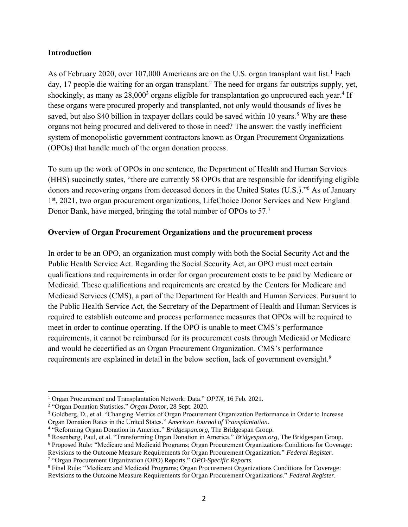#### **Introduction**

As of February 2020, over 107,000 Americans are on the U.S. organ transplant wait list.<sup>1</sup> Each day, 17 people die waiting for an organ transplant.<sup>2</sup> The need for organs far outstrips supply, yet, shockingly, as many as 28,000<sup>3</sup> organs eligible for transplantation go unprocured each year.<sup>4</sup> If these organs were procured properly and transplanted, not only would thousands of lives be saved, but also \$40 billion in taxpayer dollars could be saved within 10 years.<sup>5</sup> Why are these organs not being procured and delivered to those in need? The answer: the vastly inefficient system of monopolistic government contractors known as Organ Procurement Organizations (OPOs) that handle much of the organ donation process.

To sum up the work of OPOs in one sentence, the Department of Health and Human Services (HHS) succinctly states, "there are currently 58 OPOs that are responsible for identifying eligible donors and recovering organs from deceased donors in the United States (U.S.)." <sup>6</sup> As of January 1st, 2021, two organ procurement organizations, LifeChoice Donor Services and New England Donor Bank, have merged, bringing the total number of OPOs to 57.<sup>7</sup>

#### **Overview of Organ Procurement Organizations and the procurement process**

In order to be an OPO, an organization must comply with both the Social Security Act and the Public Health Service Act. Regarding the Social Security Act, an OPO must meet certain qualifications and requirements in order for organ procurement costs to be paid by Medicare or Medicaid. These qualifications and requirements are created by the Centers for Medicare and Medicaid Services (CMS), a part of the Department for Health and Human Services. Pursuant to the Public Health Service Act, the Secretary of the Department of Health and Human Services is required to establish outcome and process performance measures that OPOs will be required to meet in order to continue operating. If the OPO is unable to meet CMS's performance requirements, it cannot be reimbursed for its procurement costs through Medicaid or Medicare and would be decertified as an Organ Procurement Organization. CMS's performance requirements are explained in detail in the below section, lack of government oversight.<sup>8</sup>

<sup>1</sup> Organ Procurement and Transplantation Network: Data." *OPTN*, 16 Feb. 2021.

<sup>2</sup> "Organ Donation Statistics." *Organ Donor*, 28 Sept. 2020.

<sup>3</sup> Goldberg, D., et al. "Changing Metrics of Organ Procurement Organization Performance in Order to Increase Organ Donation Rates in the United States." *American Journal of Transplantation.*

<sup>4</sup> "Reforming Organ Donation in America." *Bridgespan.org*, The Bridgespan Group.

<sup>5</sup> Rosenberg, Paul, et al. "Transforming Organ Donation in America." *Bridgespan.org*, The Bridgespan Group.

<sup>6</sup> Proposed Rule: "Medicare and Medicaid Programs; Organ Procurement Organizations Conditions for Coverage:

Revisions to the Outcome Measure Requirements for Organ Procurement Organization." *Federal Register.* 7 "Organ Procurement Organization (OPO) Reports." *OPO-Specific Reports.*

<sup>8</sup> Final Rule: "Medicare and Medicaid Programs; Organ Procurement Organizations Conditions for Coverage: Revisions to the Outcome Measure Requirements for Organ Procurement Organizations." *Federal Register.*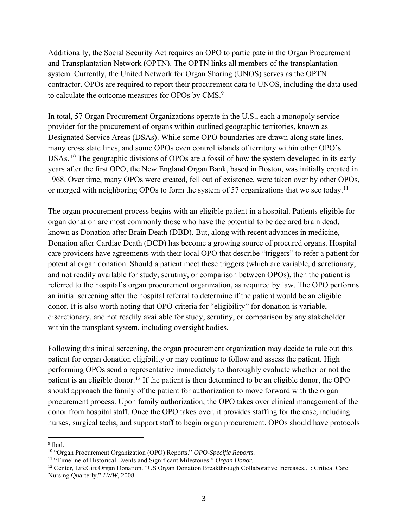Additionally, the Social Security Act requires an OPO to participate in the Organ Procurement and Transplantation Network (OPTN). The OPTN links all members of the transplantation system. Currently, the United Network for Organ Sharing (UNOS) serves as the OPTN contractor. OPOs are required to report their procurement data to UNOS, including the data used to calculate the outcome measures for OPOs by CMS.<sup>9</sup>

In total, 57 Organ Procurement Organizations operate in the U.S., each a monopoly service provider for the procurement of organs within outlined geographic territories, known as Designated Service Areas (DSAs). While some OPO boundaries are drawn along state lines, many cross state lines, and some OPOs even control islands of territory within other OPO's DSAs.<sup>10</sup> The geographic divisions of OPOs are a fossil of how the system developed in its early years after the first OPO, the New England Organ Bank, based in Boston, was initially created in 1968. Over time, many OPOs were created, fell out of existence, were taken over by other OPOs, or merged with neighboring OPOs to form the system of 57 organizations that we see today.<sup>11</sup>

The organ procurement process begins with an eligible patient in a hospital. Patients eligible for organ donation are most commonly those who have the potential to be declared brain dead, known as Donation after Brain Death (DBD). But, along with recent advances in medicine, Donation after Cardiac Death (DCD) has become a growing source of procured organs. Hospital care providers have agreements with their local OPO that describe "triggers" to refer a patient for potential organ donation. Should a patient meet these triggers (which are variable, discretionary, and not readily available for study, scrutiny, or comparison between OPOs), then the patient is referred to the hospital's organ procurement organization, as required by law. The OPO performs an initial screening after the hospital referral to determine if the patient would be an eligible donor. It is also worth noting that OPO criteria for "eligibility" for donation is variable, discretionary, and not readily available for study, scrutiny, or comparison by any stakeholder within the transplant system, including oversight bodies.

Following this initial screening, the organ procurement organization may decide to rule out this patient for organ donation eligibility or may continue to follow and assess the patient. High performing OPOs send a representative immediately to thoroughly evaluate whether or not the patient is an eligible donor.<sup>12</sup> If the patient is then determined to be an eligible donor, the OPO should approach the family of the patient for authorization to move forward with the organ procurement process. Upon family authorization, the OPO takes over clinical management of the donor from hospital staff. Once the OPO takes over, it provides staffing for the case, including nurses, surgical techs, and support staff to begin organ procurement. OPOs should have protocols

<sup>&</sup>lt;sup>9</sup> Ibid.

<sup>10</sup> "Organ Procurement Organization (OPO) Reports." *OPO-Specific Reports.*

<sup>11</sup> "Timeline of Historical Events and Significant Milestones." *Organ Donor.*

<sup>&</sup>lt;sup>12</sup> Center, LifeGift Organ Donation. "US Organ Donation Breakthrough Collaborative Increases... : Critical Care Nursing Quarterly." *LWW*, 2008.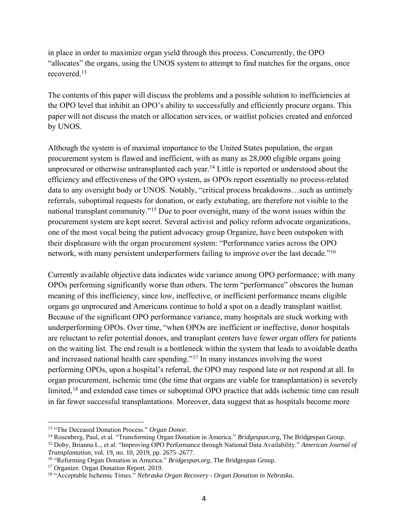in place in order to maximize organ yield through this process. Concurrently, the OPO "allocates" the organs, using the UNOS system to attempt to find matches for the organs, once recovered. 13

The contents of this paper will discuss the problems and a possible solution to inefficiencies at the OPO level that inhibit an OPO's ability to successfully and efficiently procure organs. This paper will not discuss the match or allocation services, or waitlist policies created and enforced by UNOS.

Although the system is of maximal importance to the United States population, the organ procurement system is flawed and inefficient, with as many as 28,000 eligible organs going unprocured or otherwise untransplanted each year.<sup>14</sup> Little is reported or understood about the efficiency and effectiveness of the OPO system, as OPOs report essentially no process-related data to any oversight body or UNOS. Notably, "critical process breakdowns…such as untimely referrals, suboptimal requests for donation, or early extubating, are therefore not visible to the national transplant community."<sup>15</sup> Due to poor oversight, many of the worst issues within the procurement system are kept secret. Several activist and policy reform advocate organizations, one of the most vocal being the patient advocacy group Organize, have been outspoken with their displeasure with the organ procurement system: "Performance varies across the OPO network, with many persistent underperformers failing to improve over the last decade."<sup>16</sup>

Currently available objective data indicates wide variance among OPO performance; with many OPOs performing significantly worse than others. The term "performance" obscures the human meaning of this inefficiency, since low, ineffective, or inefficient performance means eligible organs go unprocured and Americans continue to hold a spot on a deadly transplant waitlist. Because of the significant OPO performance variance, many hospitals are stuck working with underperforming OPOs. Over time, "when OPOs are inefficient or ineffective, donor hospitals are reluctant to refer potential donors, and transplant centers have fewer organ offers for patients on the waiting list. The end result is a bottleneck within the system that leads to avoidable deaths and increased national health care spending."<sup>17</sup> In many instances involving the worst performing OPOs, upon a hospital's referral, the OPO may respond late or not respond at all. In organ procurement, ischemic time (the time that organs are viable for transplantation) is severely limited,<sup>18</sup> and extended case times or suboptimal OPO practice that adds ischemic time can result in far fewer successful transplantations. Moreover, data suggest that as hospitals become more

<sup>13</sup> "The Deceased Donation Process." *Organ Donor.*

<sup>14</sup> Rosenberg, Paul, et al. "Transforming Organ Donation in America." *Bridgespan.org*, The Bridgespan Group.

<sup>15</sup> Doby, Brianna L., et al. "Improving OPO Performance through National Data Availability." *American Journal of Transplantation*, vol. 19, no. 10, 2019, pp. 2675–2677.

<sup>16</sup> "Reforming Organ Donation in America." *Bridgespan.org*, The Bridgespan Group.

<sup>&</sup>lt;sup>17</sup> Organize. Organ Donation Report. 2019.

<sup>18</sup> "Acceptable Ischemic Times." *Nebraska Organ Recovery - Organ Donation in Nebraska.*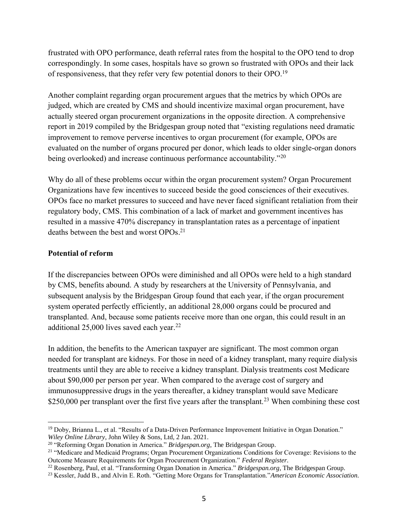frustrated with OPO performance, death referral rates from the hospital to the OPO tend to drop correspondingly. In some cases, hospitals have so grown so frustrated with OPOs and their lack of responsiveness, that they refer very few potential donors to their OPO.<sup>19</sup>

Another complaint regarding organ procurement argues that the metrics by which OPOs are judged, which are created by CMS and should incentivize maximal organ procurement, have actually steered organ procurement organizations in the opposite direction. A comprehensive report in 2019 compiled by the Bridgespan group noted that "existing regulations need dramatic improvement to remove perverse incentives to organ procurement (for example, OPOs are evaluated on the number of organs procured per donor, which leads to older single-organ donors being overlooked) and increase continuous performance accountability."<sup>20</sup>

Why do all of these problems occur within the organ procurement system? Organ Procurement Organizations have few incentives to succeed beside the good consciences of their executives. OPOs face no market pressures to succeed and have never faced significant retaliation from their regulatory body, CMS. This combination of a lack of market and government incentives has resulted in a massive 470% discrepancy in transplantation rates as a percentage of inpatient deaths between the best and worst OPOs. 21

#### **Potential of reform**

If the discrepancies between OPOs were diminished and all OPOs were held to a high standard by CMS, benefits abound. A study by researchers at the University of Pennsylvania, and subsequent analysis by the Bridgespan Group found that each year, if the organ procurement system operated perfectly efficiently, an additional 28,000 organs could be procured and transplanted. And, because some patients receive more than one organ, this could result in an additional 25,000 lives saved each year.<sup>22</sup>

In addition, the benefits to the American taxpayer are significant. The most common organ needed for transplant are kidneys. For those in need of a kidney transplant, many require dialysis treatments until they are able to receive a kidney transplant. Dialysis treatments cost Medicare about \$90,000 per person per year. When compared to the average cost of surgery and immunosuppressive drugs in the years thereafter, a kidney transplant would save Medicare \$250,000 per transplant over the first five years after the transplant.<sup>23</sup> When combining these cost

<sup>19</sup> Doby, Brianna L., et al. "Results of a Data‐Driven Performance Improvement Initiative in Organ Donation." *Wiley Online Library*, John Wiley & Sons, Ltd, 2 Jan. 2021.

<sup>20</sup> "Reforming Organ Donation in America." *Bridgespan.org*, The Bridgespan Group.

<sup>&</sup>lt;sup>21</sup> "Medicare and Medicaid Programs; Organ Procurement Organizations Conditions for Coverage: Revisions to the Outcome Measure Requirements for Organ Procurement Organization." *Federal Register.*

<sup>22</sup> Rosenberg, Paul, et al. "Transforming Organ Donation in America." *Bridgespan.org*, The Bridgespan Group.

<sup>23</sup> Kessler, Judd B., and Alvin E. Roth. "Getting More Organs for Transplantation."*American Economic Association.*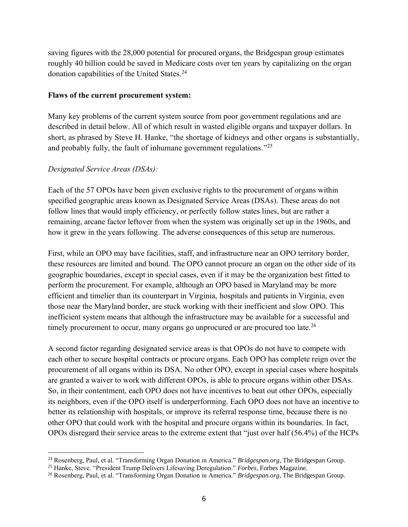saving figures with the 28,000 potential for procured organs, the Bridgespan group estimates roughly 40 billion could be saved in Medicare costs over ten years by capitalizing on the organ donation capabilities of the United States.<sup>24</sup>

#### **Flaws of the current procurement system:**

Many key problems of the current system source from poor government regulations and are described in detail below. All of which result in wasted eligible organs and taxpayer dollars. In short, as phrased by Steve H. Hanke, "the shortage of kidneys and other organs is substantially, and probably fully, the fault of inhumane government regulations."<sup>25</sup>

#### *Designated Service Areas (DSAs):*

Each of the 57 OPOs have been given exclusive rights to the procurement of organs within specified geographic areas known as Designated Service Areas (DSAs). These areas do not follow lines that would imply efficiency, or perfectly follow states lines, but are rather a remaining, arcane factor leftover from when the system was originally set up in the 1960s, and how it grew in the years following. The adverse consequences of this setup are numerous.

First, while an OPO may have facilities, staff, and infrastructure near an OPO territory border, these resources are limited and bound. The OPO cannot procure an organ on the other side of its geographic boundaries, except in special cases, even if it may be the organization best fitted to perform the procurement. For example, although an OPO based in Maryland may be more efficient and timelier than its counterpart in Virginia, hospitals and patients in Virginia, even those near the Maryland border, are stuck working with their inefficient and slow OPO. This inefficient system means that although the infrastructure may be available for a successful and timely procurement to occur, many organs go unprocured or are procured too late.<sup>26</sup>

A second factor regarding designated service areas is that OPOs do not have to compete with each other to secure hospital contracts or procure organs. Each OPO has complete reign over the procurement of all organs within its DSA. No other OPO, except in special cases where hospitals are granted a waiver to work with different OPOs, is able to procure organs within other DSAs. So, in their contentment, each OPO does not have incentives to beat out other OPOs, especially its neighbors, even if the OPO itself is underperforming. Each OPO does not have an incentive to better its relationship with hospitals, or improve its referral response time, because there is no other OPO that could work with the hospital and procure organs within its boundaries. In fact, OPOs disregard their service areas to the extreme extent that "just over half (56.4%) of the HCPs

<sup>24</sup> Rosenberg, Paul, et al. "Transforming Organ Donation in America." *Bridgespan.org*, The Bridgespan Group.

<sup>25</sup> Hanke, Steve. "President Trump Delivers Lifesaving Deregulation." *Forbes*, Forbes Magazine.

<sup>26</sup> Rosenberg, Paul, et al. "Transforming Organ Donation in America." *Bridgespan.org*, The Bridgespan Group.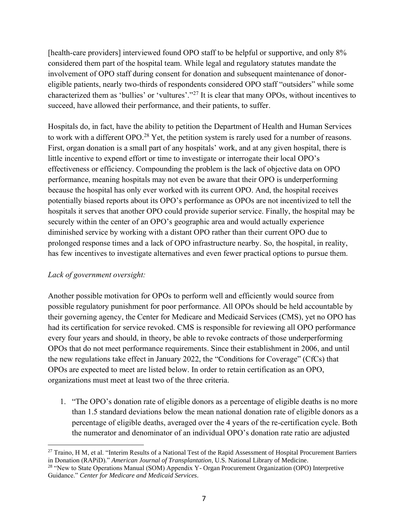[health-care providers] interviewed found OPO staff to be helpful or supportive, and only 8% considered them part of the hospital team. While legal and regulatory statutes mandate the involvement of OPO staff during consent for donation and subsequent maintenance of donoreligible patients, nearly two-thirds of respondents considered OPO staff "outsiders" while some characterized them as 'bullies' or 'vultures'."<sup>27</sup> It is clear that many OPOs, without incentives to succeed, have allowed their performance, and their patients, to suffer.

Hospitals do, in fact, have the ability to petition the Department of Health and Human Services to work with a different OPO.<sup>28</sup> Yet, the petition system is rarely used for a number of reasons. First, organ donation is a small part of any hospitals' work, and at any given hospital, there is little incentive to expend effort or time to investigate or interrogate their local OPO's effectiveness or efficiency. Compounding the problem is the lack of objective data on OPO performance, meaning hospitals may not even be aware that their OPO is underperforming because the hospital has only ever worked with its current OPO. And, the hospital receives potentially biased reports about its OPO's performance as OPOs are not incentivized to tell the hospitals it serves that another OPO could provide superior service. Finally, the hospital may be securely within the center of an OPO's geographic area and would actually experience diminished service by working with a distant OPO rather than their current OPO due to prolonged response times and a lack of OPO infrastructure nearby. So, the hospital, in reality, has few incentives to investigate alternatives and even fewer practical options to pursue them.

#### *Lack of government oversight:*

Another possible motivation for OPOs to perform well and efficiently would source from possible regulatory punishment for poor performance. All OPOs should be held accountable by their governing agency, the Center for Medicare and Medicaid Services (CMS), yet no OPO has had its certification for service revoked. CMS is responsible for reviewing all OPO performance every four years and should, in theory, be able to revoke contracts of those underperforming OPOs that do not meet performance requirements. Since their establishment in 2006, and until the new regulations take effect in January 2022, the "Conditions for Coverage" (CfCs) that OPOs are expected to meet are listed below. In order to retain certification as an OPO, organizations must meet at least two of the three criteria.

1. "The OPO's donation rate of eligible donors as a percentage of eligible deaths is no more than 1.5 standard deviations below the mean national donation rate of eligible donors as a percentage of eligible deaths, averaged over the 4 years of the re-certification cycle. Both the numerator and denominator of an individual OPO's donation rate ratio are adjusted

<sup>&</sup>lt;sup>27</sup> Traino, H M, et al. "Interim Results of a National Test of the Rapid Assessment of Hospital Procurement Barriers in Donation (RAPiD)." *American Journal of Transplantation*, U.S. National Library of Medicine.

<sup>&</sup>lt;sup>28</sup> "New to State Operations Manual (SOM) Appendix Y- Organ Procurement Organization (OPO) Interpretive Guidance." *Center for Medicare and Medicaid Services.*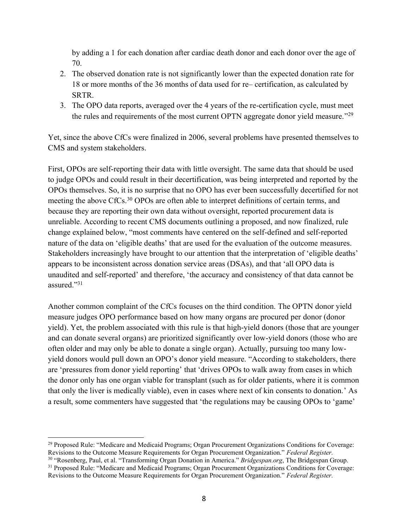by adding a 1 for each donation after cardiac death donor and each donor over the age of 70.

- 2. The observed donation rate is not significantly lower than the expected donation rate for 18 or more months of the 36 months of data used for re– certification, as calculated by SRTR.
- 3. The OPO data reports, averaged over the 4 years of the re-certification cycle, must meet the rules and requirements of the most current OPTN aggregate donor yield measure."<sup>29</sup>

Yet, since the above CfCs were finalized in 2006, several problems have presented themselves to CMS and system stakeholders.

First, OPOs are self-reporting their data with little oversight. The same data that should be used to judge OPOs and could result in their decertification, was being interpreted and reported by the OPOs themselves. So, it is no surprise that no OPO has ever been successfully decertified for not meeting the above CfCs.<sup>30</sup> OPOs are often able to interpret definitions of certain terms, and because they are reporting their own data without oversight, reported procurement data is unreliable. According to recent CMS documents outlining a proposed, and now finalized, rule change explained below, "most comments have centered on the self-defined and self-reported nature of the data on 'eligible deaths' that are used for the evaluation of the outcome measures. Stakeholders increasingly have brought to our attention that the interpretation of 'eligible deaths' appears to be inconsistent across donation service areas (DSAs), and that 'all OPO data is unaudited and self-reported' and therefore, 'the accuracy and consistency of that data cannot be assured." 31

Another common complaint of the CfCs focuses on the third condition. The OPTN donor yield measure judges OPO performance based on how many organs are procured per donor (donor yield). Yet, the problem associated with this rule is that high-yield donors (those that are younger and can donate several organs) are prioritized significantly over low-yield donors (those who are often older and may only be able to donate a single organ). Actually, pursuing too many lowyield donors would pull down an OPO's donor yield measure. "According to stakeholders, there are 'pressures from donor yield reporting' that 'drives OPOs to walk away from cases in which the donor only has one organ viable for transplant (such as for older patients, where it is common that only the liver is medically viable), even in cases where next of kin consents to donation.' As a result, some commenters have suggested that 'the regulations may be causing OPOs to 'game'

<sup>29</sup> Proposed Rule: "Medicare and Medicaid Programs; Organ Procurement Organizations Conditions for Coverage: Revisions to the Outcome Measure Requirements for Organ Procurement Organization." *Federal Register.*

<sup>30</sup> "Rosenberg, Paul, et al. "Transforming Organ Donation in America." *Bridgespan.org*, The Bridgespan Group. <sup>31</sup> Proposed Rule: "Medicare and Medicaid Programs; Organ Procurement Organizations Conditions for Coverage: Revisions to the Outcome Measure Requirements for Organ Procurement Organization." *Federal Register.*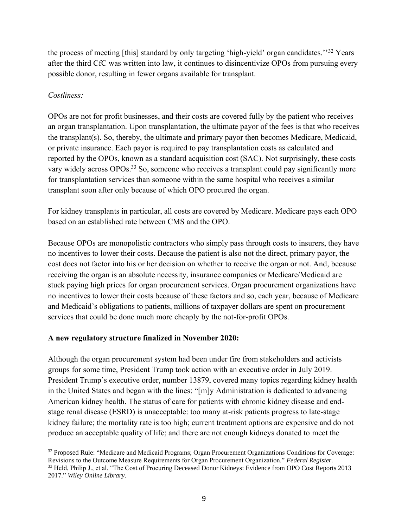the process of meeting [this] standard by only targeting 'high-yield' organ candidates.''<sup>32</sup> Years after the third CfC was written into law, it continues to disincentivize OPOs from pursuing every possible donor, resulting in fewer organs available for transplant.

#### *Costliness:*

OPOs are not for profit businesses, and their costs are covered fully by the patient who receives an organ transplantation. Upon transplantation, the ultimate payor of the fees is that who receives the transplant(s). So, thereby, the ultimate and primary payor then becomes Medicare, Medicaid, or private insurance. Each payor is required to pay transplantation costs as calculated and reported by the OPOs, known as a standard acquisition cost (SAC). Not surprisingly, these costs vary widely across OPOs.<sup>33</sup> So, someone who receives a transplant could pay significantly more for transplantation services than someone within the same hospital who receives a similar transplant soon after only because of which OPO procured the organ.

For kidney transplants in particular, all costs are covered by Medicare. Medicare pays each OPO based on an established rate between CMS and the OPO.

Because OPOs are monopolistic contractors who simply pass through costs to insurers, they have no incentives to lower their costs. Because the patient is also not the direct, primary payor, the cost does not factor into his or her decision on whether to receive the organ or not. And, because receiving the organ is an absolute necessity, insurance companies or Medicare/Medicaid are stuck paying high prices for organ procurement services. Organ procurement organizations have no incentives to lower their costs because of these factors and so, each year, because of Medicare and Medicaid's obligations to patients, millions of taxpayer dollars are spent on procurement services that could be done much more cheaply by the not-for-profit OPOs.

#### **A new regulatory structure finalized in November 2020:**

Although the organ procurement system had been under fire from stakeholders and activists groups for some time, President Trump took action with an executive order in July 2019. President Trump's executive order, number 13879, covered many topics regarding kidney health in the United States and began with the lines: "[m]y Administration is dedicated to advancing American kidney health. The status of care for patients with chronic kidney disease and endstage renal disease (ESRD) is unacceptable: too many at-risk patients progress to late-stage kidney failure; the mortality rate is too high; current treatment options are expensive and do not produce an acceptable quality of life; and there are not enough kidneys donated to meet the

<sup>&</sup>lt;sup>32</sup> Proposed Rule: "Medicare and Medicaid Programs; Organ Procurement Organizations Conditions for Coverage: Revisions to the Outcome Measure Requirements for Organ Procurement Organization." *Federal Register.* <sup>33</sup> Held, Philip J., et al. "The Cost of Procuring Deceased Donor Kidneys: Evidence from OPO Cost Reports 2013 2017." *Wiley Online Library.*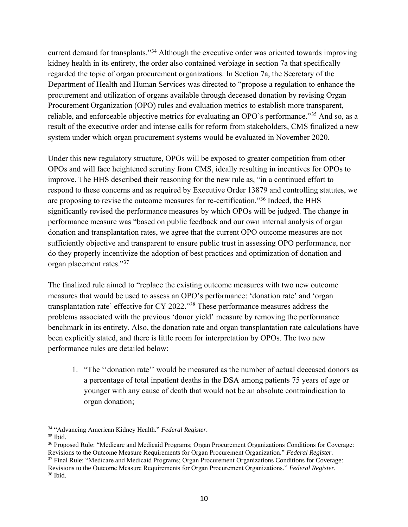current demand for transplants."<sup>34</sup> Although the executive order was oriented towards improving kidney health in its entirety, the order also contained verbiage in section 7a that specifically regarded the topic of organ procurement organizations. In Section 7a, the Secretary of the Department of Health and Human Services was directed to "propose a regulation to enhance the procurement and utilization of organs available through deceased donation by revising Organ Procurement Organization (OPO) rules and evaluation metrics to establish more transparent, reliable, and enforceable objective metrics for evaluating an OPO's performance."<sup>35</sup> And so, as a result of the executive order and intense calls for reform from stakeholders, CMS finalized a new system under which organ procurement systems would be evaluated in November 2020.

Under this new regulatory structure, OPOs will be exposed to greater competition from other OPOs and will face heightened scrutiny from CMS, ideally resulting in incentives for OPOs to improve. The HHS described their reasoning for the new rule as, "in a continued effort to respond to these concerns and as required by Executive Order 13879 and controlling statutes, we are proposing to revise the outcome measures for re-certification."<sup>36</sup> Indeed, the HHS significantly revised the performance measures by which OPOs will be judged. The change in performance measure was "based on public feedback and our own internal analysis of organ donation and transplantation rates, we agree that the current OPO outcome measures are not sufficiently objective and transparent to ensure public trust in assessing OPO performance, nor do they properly incentivize the adoption of best practices and optimization of donation and organ placement rates."<sup>37</sup>

The finalized rule aimed to "replace the existing outcome measures with two new outcome measures that would be used to assess an OPO's performance: 'donation rate' and 'organ transplantation rate' effective for CY 2022."<sup>38</sup> These performance measures address the problems associated with the previous 'donor yield' measure by removing the performance benchmark in its entirety. Also, the donation rate and organ transplantation rate calculations have been explicitly stated, and there is little room for interpretation by OPOs. The two new performance rules are detailed below:

1. "The ''donation rate'' would be measured as the number of actual deceased donors as a percentage of total inpatient deaths in the DSA among patients 75 years of age or younger with any cause of death that would not be an absolute contraindication to organ donation;

<sup>34</sup> "Advancing American Kidney Health." *Federal Register.*

 $35$  Ibid.

<sup>36</sup> Proposed Rule: "Medicare and Medicaid Programs; Organ Procurement Organizations Conditions for Coverage: Revisions to the Outcome Measure Requirements for Organ Procurement Organization." *Federal Register.* <sup>37</sup> Final Rule: "Medicare and Medicaid Programs; Organ Procurement Organizations Conditions for Coverage: Revisions to the Outcome Measure Requirements for Organ Procurement Organizations." *Federal Register.*

 $38$  Ibid.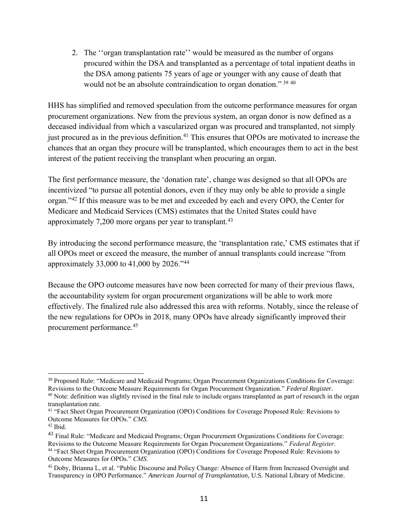2. The ''organ transplantation rate'' would be measured as the number of organs procured within the DSA and transplanted as a percentage of total inpatient deaths in the DSA among patients 75 years of age or younger with any cause of death that would not be an absolute contraindication to organ donation." 39 40

HHS has simplified and removed speculation from the outcome performance measures for organ procurement organizations. New from the previous system, an organ donor is now defined as a deceased individual from which a vascularized organ was procured and transplanted, not simply just procured as in the previous definition.<sup>41</sup> This ensures that OPOs are motivated to increase the chances that an organ they procure will be transplanted, which encourages them to act in the best interest of the patient receiving the transplant when procuring an organ.

The first performance measure, the 'donation rate', change was designed so that all OPOs are incentivized "to pursue all potential donors, even if they may only be able to provide a single organ."<sup>42</sup> If this measure was to be met and exceeded by each and every OPO, the Center for Medicare and Medicaid Services (CMS) estimates that the United States could have approximately 7,200 more organs per year to transplant.<sup>43</sup>

By introducing the second performance measure, the 'transplantation rate,' CMS estimates that if all OPOs meet or exceed the measure, the number of annual transplants could increase "from approximately 33,000 to 41,000 by 2026."<sup>44</sup>

Because the OPO outcome measures have now been corrected for many of their previous flaws, the accountability system for organ procurement organizations will be able to work more effectively. The finalized rule also addressed this area with reforms. Notably, since the release of the new regulations for OPOs in 2018, many OPOs have already significantly improved their procurement performance.<sup>45</sup>

<sup>39</sup> Proposed Rule: "Medicare and Medicaid Programs; Organ Procurement Organizations Conditions for Coverage: Revisions to the Outcome Measure Requirements for Organ Procurement Organization." *Federal Register.*

<sup>&</sup>lt;sup>40</sup> Note: definition was slightly revised in the final rule to include organs transplanted as part of research in the organ transplantation rate.

<sup>41</sup> "Fact Sheet Organ Procurement Organization (OPO) Conditions for Coverage Proposed Rule: Revisions to Outcome Measures for OPOs." *CMS.*

<sup>42</sup> Ibid.

<sup>&</sup>lt;sup>43</sup> Final Rule: "Medicare and Medicaid Programs; Organ Procurement Organizations Conditions for Coverage: Revisions to the Outcome Measure Requirements for Organ Procurement Organizations." *Federal Register.* <sup>44</sup> "Fact Sheet Organ Procurement Organization (OPO) Conditions for Coverage Proposed Rule: Revisions to Outcome Measures for OPOs." *CMS.*

<sup>45</sup> Doby, Brianna L, et al. "Public Discourse and Policy Change: Absence of Harm from Increased Oversight and Transparency in OPO Performance." *American Journal of Transplantation*, U.S. National Library of Medicine.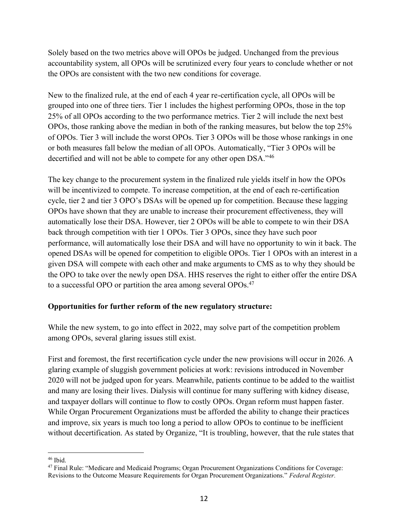Solely based on the two metrics above will OPOs be judged. Unchanged from the previous accountability system, all OPOs will be scrutinized every four years to conclude whether or not the OPOs are consistent with the two new conditions for coverage.

New to the finalized rule, at the end of each 4 year re-certification cycle, all OPOs will be grouped into one of three tiers. Tier 1 includes the highest performing OPOs, those in the top 25% of all OPOs according to the two performance metrics. Tier 2 will include the next best OPOs, those ranking above the median in both of the ranking measures, but below the top 25% of OPOs. Tier 3 will include the worst OPOs. Tier 3 OPOs will be those whose rankings in one or both measures fall below the median of all OPOs. Automatically, "Tier 3 OPOs will be decertified and will not be able to compete for any other open DSA."<sup>46</sup>

The key change to the procurement system in the finalized rule yields itself in how the OPOs will be incentivized to compete. To increase competition, at the end of each re-certification cycle, tier 2 and tier 3 OPO's DSAs will be opened up for competition. Because these lagging OPOs have shown that they are unable to increase their procurement effectiveness, they will automatically lose their DSA. However, tier 2 OPOs will be able to compete to win their DSA back through competition with tier 1 OPOs. Tier 3 OPOs, since they have such poor performance, will automatically lose their DSA and will have no opportunity to win it back. The opened DSAs will be opened for competition to eligible OPOs. Tier 1 OPOs with an interest in a given DSA will compete with each other and make arguments to CMS as to why they should be the OPO to take over the newly open DSA. HHS reserves the right to either offer the entire DSA to a successful OPO or partition the area among several OPOs.<sup>47</sup>

#### **Opportunities for further reform of the new regulatory structure:**

While the new system, to go into effect in 2022, may solve part of the competition problem among OPOs, several glaring issues still exist.

First and foremost, the first recertification cycle under the new provisions will occur in 2026. A glaring example of sluggish government policies at work: revisions introduced in November 2020 will not be judged upon for years. Meanwhile, patients continue to be added to the waitlist and many are losing their lives. Dialysis will continue for many suffering with kidney disease, and taxpayer dollars will continue to flow to costly OPOs. Organ reform must happen faster. While Organ Procurement Organizations must be afforded the ability to change their practices and improve, six years is much too long a period to allow OPOs to continue to be inefficient without decertification. As stated by Organize, "It is troubling, however, that the rule states that

<sup>46</sup> Ibid.

<sup>47</sup> Final Rule: "Medicare and Medicaid Programs; Organ Procurement Organizations Conditions for Coverage: Revisions to the Outcome Measure Requirements for Organ Procurement Organizations." *Federal Register.*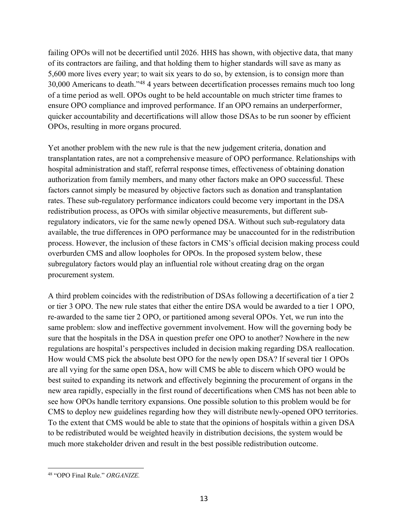failing OPOs will not be decertified until 2026. HHS has shown, with objective data, that many of its contractors are failing, and that holding them to higher standards will save as many as 5,600 more lives every year; to wait six years to do so, by extension, is to consign more than 30,000 Americans to death." <sup>48</sup> 4 years between decertification processes remains much too long of a time period as well. OPOs ought to be held accountable on much stricter time frames to ensure OPO compliance and improved performance. If an OPO remains an underperformer, quicker accountability and decertifications will allow those DSAs to be run sooner by efficient OPOs, resulting in more organs procured.

Yet another problem with the new rule is that the new judgement criteria, donation and transplantation rates, are not a comprehensive measure of OPO performance. Relationships with hospital administration and staff, referral response times, effectiveness of obtaining donation authorization from family members, and many other factors make an OPO successful. These factors cannot simply be measured by objective factors such as donation and transplantation rates. These sub-regulatory performance indicators could become very important in the DSA redistribution process, as OPOs with similar objective measurements, but different subregulatory indicators, vie for the same newly opened DSA. Without such sub-regulatory data available, the true differences in OPO performance may be unaccounted for in the redistribution process. However, the inclusion of these factors in CMS's official decision making process could overburden CMS and allow loopholes for OPOs. In the proposed system below, these subregulatory factors would play an influential role without creating drag on the organ procurement system.

A third problem coincides with the redistribution of DSAs following a decertification of a tier 2 or tier 3 OPO. The new rule states that either the entire DSA would be awarded to a tier 1 OPO, re-awarded to the same tier 2 OPO, or partitioned among several OPOs. Yet, we run into the same problem: slow and ineffective government involvement. How will the governing body be sure that the hospitals in the DSA in question prefer one OPO to another? Nowhere in the new regulations are hospital's perspectives included in decision making regarding DSA reallocation. How would CMS pick the absolute best OPO for the newly open DSA? If several tier 1 OPOs are all vying for the same open DSA, how will CMS be able to discern which OPO would be best suited to expanding its network and effectively beginning the procurement of organs in the new area rapidly, especially in the first round of decertifications when CMS has not been able to see how OPOs handle territory expansions. One possible solution to this problem would be for CMS to deploy new guidelines regarding how they will distribute newly-opened OPO territories. To the extent that CMS would be able to state that the opinions of hospitals within a given DSA to be redistributed would be weighted heavily in distribution decisions, the system would be much more stakeholder driven and result in the best possible redistribution outcome.

<sup>48</sup> "OPO Final Rule." *ORGANIZE.*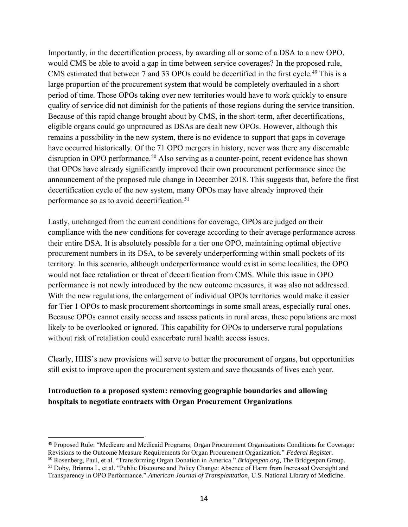Importantly, in the decertification process, by awarding all or some of a DSA to a new OPO, would CMS be able to avoid a gap in time between service coverages? In the proposed rule, CMS estimated that between 7 and 33 OPOs could be decertified in the first cycle.<sup>49</sup> This is a large proportion of the procurement system that would be completely overhauled in a short period of time. Those OPOs taking over new territories would have to work quickly to ensure quality of service did not diminish for the patients of those regions during the service transition. Because of this rapid change brought about by CMS, in the short-term, after decertifications, eligible organs could go unprocured as DSAs are dealt new OPOs. However, although this remains a possibility in the new system, there is no evidence to support that gaps in coverage have occurred historically. Of the 71 OPO mergers in history, never was there any discernable disruption in OPO performance.<sup>50</sup> Also serving as a counter-point, recent evidence has shown that OPOs have already significantly improved their own procurement performance since the announcement of the proposed rule change in December 2018. This suggests that, before the first decertification cycle of the new system, many OPOs may have already improved their performance so as to avoid decertification.<sup>51</sup>

Lastly, unchanged from the current conditions for coverage, OPOs are judged on their compliance with the new conditions for coverage according to their average performance across their entire DSA. It is absolutely possible for a tier one OPO, maintaining optimal objective procurement numbers in its DSA, to be severely underperforming within small pockets of its territory. In this scenario, although underperformance would exist in some localities, the OPO would not face retaliation or threat of decertification from CMS. While this issue in OPO performance is not newly introduced by the new outcome measures, it was also not addressed. With the new regulations, the enlargement of individual OPOs territories would make it easier for Tier 1 OPOs to mask procurement shortcomings in some small areas, especially rural ones. Because OPOs cannot easily access and assess patients in rural areas, these populations are most likely to be overlooked or ignored. This capability for OPOs to underserve rural populations without risk of retaliation could exacerbate rural health access issues.

Clearly, HHS's new provisions will serve to better the procurement of organs, but opportunities still exist to improve upon the procurement system and save thousands of lives each year.

#### **Introduction to a proposed system: removing geographic boundaries and allowing hospitals to negotiate contracts with Organ Procurement Organizations**

<sup>49</sup> Proposed Rule: "Medicare and Medicaid Programs; Organ Procurement Organizations Conditions for Coverage: Revisions to the Outcome Measure Requirements for Organ Procurement Organization." *Federal Register.*

<sup>50</sup> Rosenberg, Paul, et al. "Transforming Organ Donation in America." *Bridgespan.org*, The Bridgespan Group. <sup>51</sup> Doby, Brianna L, et al. "Public Discourse and Policy Change: Absence of Harm from Increased Oversight and

Transparency in OPO Performance." *American Journal of Transplantation*, U.S. National Library of Medicine.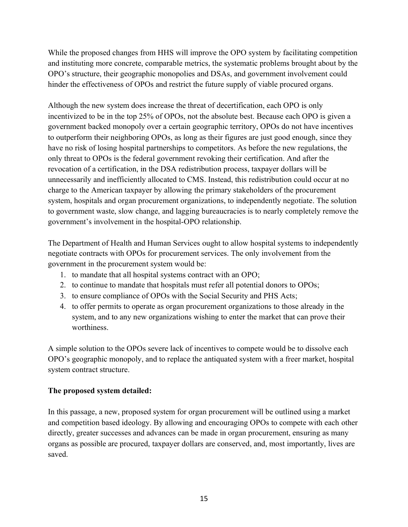While the proposed changes from HHS will improve the OPO system by facilitating competition and instituting more concrete, comparable metrics, the systematic problems brought about by the OPO's structure, their geographic monopolies and DSAs, and government involvement could hinder the effectiveness of OPOs and restrict the future supply of viable procured organs.

Although the new system does increase the threat of decertification, each OPO is only incentivized to be in the top 25% of OPOs, not the absolute best. Because each OPO is given a government backed monopoly over a certain geographic territory, OPOs do not have incentives to outperform their neighboring OPOs, as long as their figures are just good enough, since they have no risk of losing hospital partnerships to competitors. As before the new regulations, the only threat to OPOs is the federal government revoking their certification. And after the revocation of a certification, in the DSA redistribution process, taxpayer dollars will be unnecessarily and inefficiently allocated to CMS. Instead, this redistribution could occur at no charge to the American taxpayer by allowing the primary stakeholders of the procurement system, hospitals and organ procurement organizations, to independently negotiate. The solution to government waste, slow change, and lagging bureaucracies is to nearly completely remove the government's involvement in the hospital-OPO relationship.

The Department of Health and Human Services ought to allow hospital systems to independently negotiate contracts with OPOs for procurement services. The only involvement from the government in the procurement system would be:

- 1. to mandate that all hospital systems contract with an OPO;
- 2. to continue to mandate that hospitals must refer all potential donors to OPOs;
- 3. to ensure compliance of OPOs with the Social Security and PHS Acts;
- 4. to offer permits to operate as organ procurement organizations to those already in the system, and to any new organizations wishing to enter the market that can prove their worthiness.

A simple solution to the OPOs severe lack of incentives to compete would be to dissolve each OPO's geographic monopoly, and to replace the antiquated system with a freer market, hospital system contract structure.

#### **The proposed system detailed:**

In this passage, a new, proposed system for organ procurement will be outlined using a market and competition based ideology. By allowing and encouraging OPOs to compete with each other directly, greater successes and advances can be made in organ procurement, ensuring as many organs as possible are procured, taxpayer dollars are conserved, and, most importantly, lives are saved.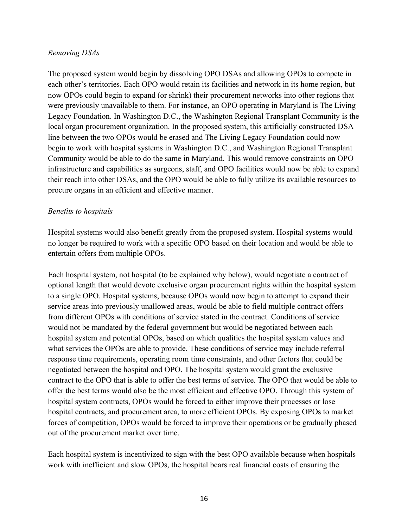#### *Removing DSAs*

The proposed system would begin by dissolving OPO DSAs and allowing OPOs to compete in each other's territories. Each OPO would retain its facilities and network in its home region, but now OPOs could begin to expand (or shrink) their procurement networks into other regions that were previously unavailable to them. For instance, an OPO operating in Maryland is The Living Legacy Foundation. In Washington D.C., the Washington Regional Transplant Community is the local organ procurement organization. In the proposed system, this artificially constructed DSA line between the two OPOs would be erased and The Living Legacy Foundation could now begin to work with hospital systems in Washington D.C., and Washington Regional Transplant Community would be able to do the same in Maryland. This would remove constraints on OPO infrastructure and capabilities as surgeons, staff, and OPO facilities would now be able to expand their reach into other DSAs, and the OPO would be able to fully utilize its available resources to procure organs in an efficient and effective manner.

#### *Benefits to hospitals*

Hospital systems would also benefit greatly from the proposed system. Hospital systems would no longer be required to work with a specific OPO based on their location and would be able to entertain offers from multiple OPOs.

Each hospital system, not hospital (to be explained why below), would negotiate a contract of optional length that would devote exclusive organ procurement rights within the hospital system to a single OPO. Hospital systems, because OPOs would now begin to attempt to expand their service areas into previously unallowed areas, would be able to field multiple contract offers from different OPOs with conditions of service stated in the contract. Conditions of service would not be mandated by the federal government but would be negotiated between each hospital system and potential OPOs, based on which qualities the hospital system values and what services the OPOs are able to provide. These conditions of service may include referral response time requirements, operating room time constraints, and other factors that could be negotiated between the hospital and OPO. The hospital system would grant the exclusive contract to the OPO that is able to offer the best terms of service. The OPO that would be able to offer the best terms would also be the most efficient and effective OPO. Through this system of hospital system contracts, OPOs would be forced to either improve their processes or lose hospital contracts, and procurement area, to more efficient OPOs. By exposing OPOs to market forces of competition, OPOs would be forced to improve their operations or be gradually phased out of the procurement market over time.

Each hospital system is incentivized to sign with the best OPO available because when hospitals work with inefficient and slow OPOs, the hospital bears real financial costs of ensuring the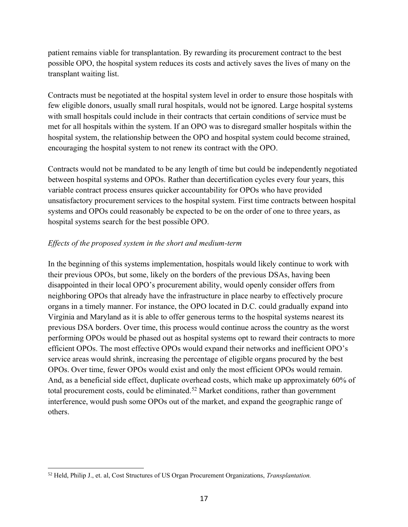patient remains viable for transplantation. By rewarding its procurement contract to the best possible OPO, the hospital system reduces its costs and actively saves the lives of many on the transplant waiting list.

Contracts must be negotiated at the hospital system level in order to ensure those hospitals with few eligible donors, usually small rural hospitals, would not be ignored. Large hospital systems with small hospitals could include in their contracts that certain conditions of service must be met for all hospitals within the system. If an OPO was to disregard smaller hospitals within the hospital system, the relationship between the OPO and hospital system could become strained, encouraging the hospital system to not renew its contract with the OPO.

Contracts would not be mandated to be any length of time but could be independently negotiated between hospital systems and OPOs. Rather than decertification cycles every four years, this variable contract process ensures quicker accountability for OPOs who have provided unsatisfactory procurement services to the hospital system. First time contracts between hospital systems and OPOs could reasonably be expected to be on the order of one to three years, as hospital systems search for the best possible OPO.

#### *Effects of the proposed system in the short and medium-term*

In the beginning of this systems implementation, hospitals would likely continue to work with their previous OPOs, but some, likely on the borders of the previous DSAs, having been disappointed in their local OPO's procurement ability, would openly consider offers from neighboring OPOs that already have the infrastructure in place nearby to effectively procure organs in a timely manner. For instance, the OPO located in D.C. could gradually expand into Virginia and Maryland as it is able to offer generous terms to the hospital systems nearest its previous DSA borders. Over time, this process would continue across the country as the worst performing OPOs would be phased out as hospital systems opt to reward their contracts to more efficient OPOs. The most effective OPOs would expand their networks and inefficient OPO's service areas would shrink, increasing the percentage of eligible organs procured by the best OPOs. Over time, fewer OPOs would exist and only the most efficient OPOs would remain. And, as a beneficial side effect, duplicate overhead costs, which make up approximately 60% of total procurement costs, could be eliminated.<sup>52</sup> Market conditions, rather than government interference, would push some OPOs out of the market, and expand the geographic range of others.

<sup>52</sup> Held, Philip J., et. al, Cost Structures of US Organ Procurement Organizations, *Transplantation.*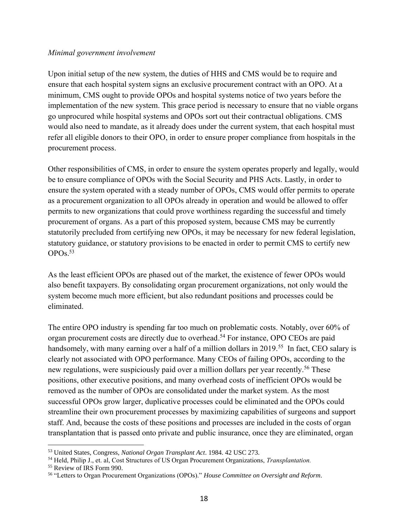#### *Minimal government involvement*

Upon initial setup of the new system, the duties of HHS and CMS would be to require and ensure that each hospital system signs an exclusive procurement contract with an OPO. At a minimum, CMS ought to provide OPOs and hospital systems notice of two years before the implementation of the new system. This grace period is necessary to ensure that no viable organs go unprocured while hospital systems and OPOs sort out their contractual obligations. CMS would also need to mandate, as it already does under the current system, that each hospital must refer all eligible donors to their OPO, in order to ensure proper compliance from hospitals in the procurement process.

Other responsibilities of CMS, in order to ensure the system operates properly and legally, would be to ensure compliance of OPOs with the Social Security and PHS Acts. Lastly, in order to ensure the system operated with a steady number of OPOs, CMS would offer permits to operate as a procurement organization to all OPOs already in operation and would be allowed to offer permits to new organizations that could prove worthiness regarding the successful and timely procurement of organs. As a part of this proposed system, because CMS may be currently statutorily precluded from certifying new OPOs, it may be necessary for new federal legislation, statutory guidance, or statutory provisions to be enacted in order to permit CMS to certify new OPOs.<sup>53</sup>

As the least efficient OPOs are phased out of the market, the existence of fewer OPOs would also benefit taxpayers. By consolidating organ procurement organizations, not only would the system become much more efficient, but also redundant positions and processes could be eliminated.

The entire OPO industry is spending far too much on problematic costs. Notably, over 60% of organ procurement costs are directly due to overhead.<sup>54</sup> For instance, OPO CEOs are paid handsomely, with many earning over a half of a million dollars in 2019.<sup>55</sup> In fact, CEO salary is clearly not associated with OPO performance. Many CEOs of failing OPOs, according to the new regulations, were suspiciously paid over a million dollars per year recently.<sup>56</sup> These positions, other executive positions, and many overhead costs of inefficient OPOs would be removed as the number of OPOs are consolidated under the market system. As the most successful OPOs grow larger, duplicative processes could be eliminated and the OPOs could streamline their own procurement processes by maximizing capabilities of surgeons and support staff. And, because the costs of these positions and processes are included in the costs of organ transplantation that is passed onto private and public insurance, once they are eliminated, organ

<sup>53</sup> United States, Congress, *National Organ Transplant Act*. 1984. 42 USC 273.

<sup>54</sup> Held, Philip J., et. al, Cost Structures of US Organ Procurement Organizations, *Transplantation.*

<sup>55</sup> Review of IRS Form 990.

<sup>56</sup> "Letters to Organ Procurement Organizations (OPOs)." *House Committee on Oversight and Reform.*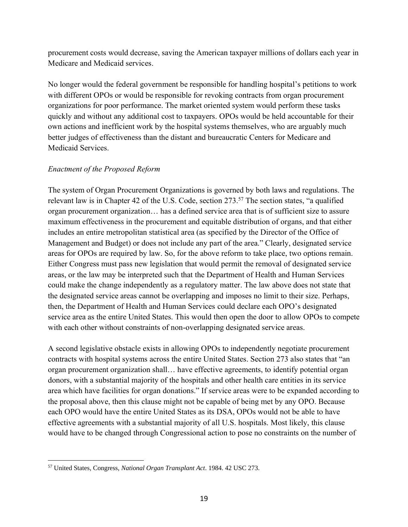procurement costs would decrease, saving the American taxpayer millions of dollars each year in Medicare and Medicaid services.

No longer would the federal government be responsible for handling hospital's petitions to work with different OPOs or would be responsible for revoking contracts from organ procurement organizations for poor performance. The market oriented system would perform these tasks quickly and without any additional cost to taxpayers. OPOs would be held accountable for their own actions and inefficient work by the hospital systems themselves, who are arguably much better judges of effectiveness than the distant and bureaucratic Centers for Medicare and Medicaid Services.

#### *Enactment of the Proposed Reform*

The system of Organ Procurement Organizations is governed by both laws and regulations. The relevant law is in Chapter 42 of the U.S. Code, section 273.<sup>57</sup> The section states, "a qualified organ procurement organization… has a defined service area that is of sufficient size to assure maximum effectiveness in the procurement and equitable distribution of organs, and that either includes an entire metropolitan statistical area (as specified by the Director of the Office of Management and Budget) or does not include any part of the area." Clearly, designated service areas for OPOs are required by law. So, for the above reform to take place, two options remain. Either Congress must pass new legislation that would permit the removal of designated service areas, or the law may be interpreted such that the Department of Health and Human Services could make the change independently as a regulatory matter. The law above does not state that the designated service areas cannot be overlapping and imposes no limit to their size. Perhaps, then, the Department of Health and Human Services could declare each OPO's designated service area as the entire United States. This would then open the door to allow OPOs to compete with each other without constraints of non-overlapping designated service areas.

A second legislative obstacle exists in allowing OPOs to independently negotiate procurement contracts with hospital systems across the entire United States. Section 273 also states that "an organ procurement organization shall… have effective agreements, to identify potential organ donors, with a substantial majority of the hospitals and other health care entities in its service area which have facilities for organ donations." If service areas were to be expanded according to the proposal above, then this clause might not be capable of being met by any OPO. Because each OPO would have the entire United States as its DSA, OPOs would not be able to have effective agreements with a substantial majority of all U.S. hospitals. Most likely, this clause would have to be changed through Congressional action to pose no constraints on the number of

<sup>57</sup> United States, Congress, *National Organ Transplant Act*. 1984. 42 USC 273.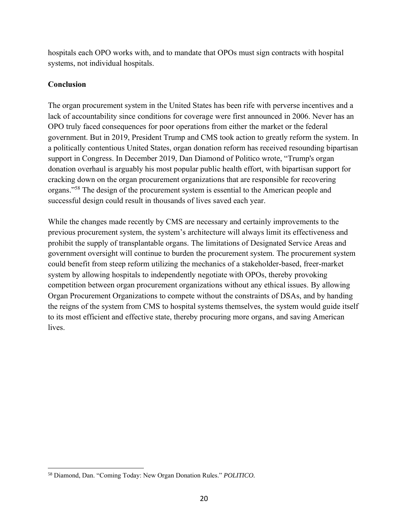hospitals each OPO works with, and to mandate that OPOs must sign contracts with hospital systems, not individual hospitals.

#### **Conclusion**

The organ procurement system in the United States has been rife with perverse incentives and a lack of accountability since conditions for coverage were first announced in 2006. Never has an OPO truly faced consequences for poor operations from either the market or the federal government. But in 2019, President Trump and CMS took action to greatly reform the system. In a politically contentious United States, organ donation reform has received resounding bipartisan support in Congress. In December 2019, Dan Diamond of Politico wrote, "Trump's organ donation overhaul is arguably his most popular public health effort, with bipartisan support for cracking down on the organ procurement organizations that are responsible for recovering organs."<sup>58</sup> The design of the procurement system is essential to the American people and successful design could result in thousands of lives saved each year.

While the changes made recently by CMS are necessary and certainly improvements to the previous procurement system, the system's architecture will always limit its effectiveness and prohibit the supply of transplantable organs. The limitations of Designated Service Areas and government oversight will continue to burden the procurement system. The procurement system could benefit from steep reform utilizing the mechanics of a stakeholder-based, freer-market system by allowing hospitals to independently negotiate with OPOs, thereby provoking competition between organ procurement organizations without any ethical issues. By allowing Organ Procurement Organizations to compete without the constraints of DSAs, and by handing the reigns of the system from CMS to hospital systems themselves, the system would guide itself to its most efficient and effective state, thereby procuring more organs, and saving American lives.

<sup>58</sup> Diamond, Dan. "Coming Today: New Organ Donation Rules." *POLITICO.*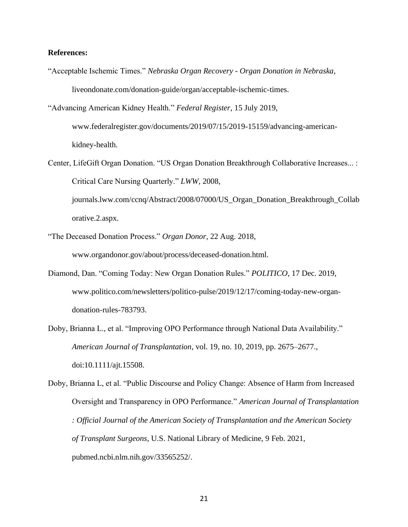#### **References:**

"Acceptable Ischemic Times." *Nebraska Organ Recovery - Organ Donation in Nebraska*, liveondonate.com/donation-guide/organ/acceptable-ischemic-times.

"Advancing American Kidney Health." *Federal Register*, 15 July 2019, www.federalregister.gov/documents/2019/07/15/2019-15159/advancing-americankidney-health.

Center, LifeGift Organ Donation. "US Organ Donation Breakthrough Collaborative Increases... : Critical Care Nursing Quarterly." *LWW*, 2008, journals.lww.com/ccnq/Abstract/2008/07000/US\_Organ\_Donation\_Breakthrough\_Collab

orative.2.aspx.

- "The Deceased Donation Process." *Organ Donor*, 22 Aug. 2018, www.organdonor.gov/about/process/deceased-donation.html.
- Diamond, Dan. "Coming Today: New Organ Donation Rules." *POLITICO*, 17 Dec. 2019, www.politico.com/newsletters/politico-pulse/2019/12/17/coming-today-new-organdonation-rules-783793.
- Doby, Brianna L., et al. "Improving OPO Performance through National Data Availability." *American Journal of Transplantation*, vol. 19, no. 10, 2019, pp. 2675–2677., doi:10.1111/ajt.15508.

Doby, Brianna L, et al. "Public Discourse and Policy Change: Absence of Harm from Increased Oversight and Transparency in OPO Performance." *American Journal of Transplantation : Official Journal of the American Society of Transplantation and the American Society of Transplant Surgeons*, U.S. National Library of Medicine, 9 Feb. 2021, pubmed.ncbi.nlm.nih.gov/33565252/.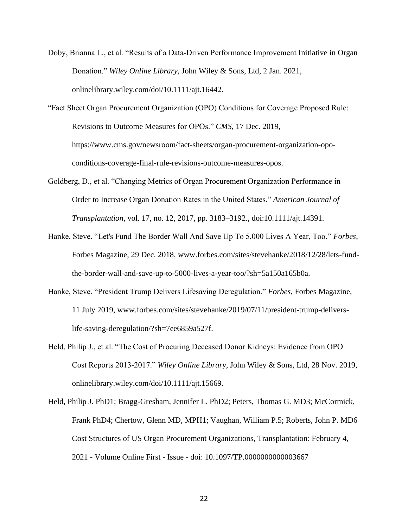- Doby, Brianna L., et al. "Results of a Data‐Driven Performance Improvement Initiative in Organ Donation." *Wiley Online Library*, John Wiley & Sons, Ltd, 2 Jan. 2021, onlinelibrary.wiley.com/doi/10.1111/ajt.16442.
- "Fact Sheet Organ Procurement Organization (OPO) Conditions for Coverage Proposed Rule: Revisions to Outcome Measures for OPOs." *CMS*, 17 Dec. 2019, https://www.cms.gov/newsroom/fact-sheets/organ-procurement-organization-opoconditions-coverage-final-rule-revisions-outcome-measures-opos.
- Goldberg, D., et al. "Changing Metrics of Organ Procurement Organization Performance in Order to Increase Organ Donation Rates in the United States." *American Journal of Transplantation*, vol. 17, no. 12, 2017, pp. 3183–3192., doi:10.1111/ajt.14391.
- Hanke, Steve. "Let's Fund The Border Wall And Save Up To 5,000 Lives A Year, Too." *Forbes*, Forbes Magazine, 29 Dec. 2018, www.forbes.com/sites/stevehanke/2018/12/28/lets-fundthe-border-wall-and-save-up-to-5000-lives-a-year-too/?sh=5a150a165b0a.
- Hanke, Steve. "President Trump Delivers Lifesaving Deregulation." *Forbes*, Forbes Magazine, 11 July 2019, www.forbes.com/sites/stevehanke/2019/07/11/president-trump-deliverslife-saving-deregulation/?sh=7ee6859a527f.
- Held, Philip J., et al. "The Cost of Procuring Deceased Donor Kidneys: Evidence from OPO Cost Reports 2013‐2017." *Wiley Online Library*, John Wiley & Sons, Ltd, 28 Nov. 2019, onlinelibrary.wiley.com/doi/10.1111/ajt.15669.
- Held, Philip J. PhD1; Bragg-Gresham, Jennifer L. PhD2; Peters, Thomas G. MD3; McCormick, Frank PhD4; Chertow, Glenn MD, MPH1; Vaughan, William P.5; Roberts, John P. MD6 Cost Structures of US Organ Procurement Organizations, Transplantation: February 4, 2021 - Volume Online First - Issue - doi: 10.1097/TP.0000000000003667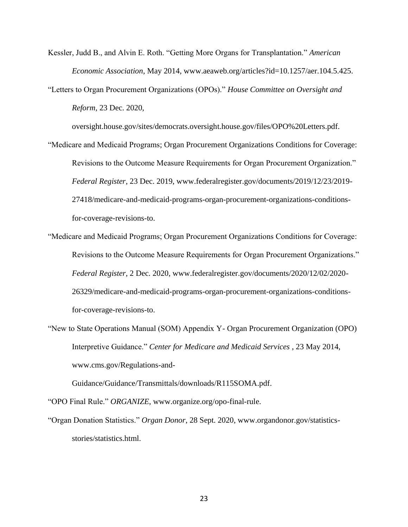Kessler, Judd B., and Alvin E. Roth. "Getting More Organs for Transplantation." *American Economic Association*, May 2014, www.aeaweb.org/articles?id=10.1257/aer.104.5.425.

"Letters to Organ Procurement Organizations (OPOs)." *House Committee on Oversight and Reform*, 23 Dec. 2020,

oversight.house.gov/sites/democrats.oversight.house.gov/files/OPO%20Letters.pdf.

"Medicare and Medicaid Programs; Organ Procurement Organizations Conditions for Coverage: Revisions to the Outcome Measure Requirements for Organ Procurement Organization." *Federal Register*, 23 Dec. 2019, www.federalregister.gov/documents/2019/12/23/2019- 27418/medicare-and-medicaid-programs-organ-procurement-organizations-conditionsfor-coverage-revisions-to.

"Medicare and Medicaid Programs; Organ Procurement Organizations Conditions for Coverage: Revisions to the Outcome Measure Requirements for Organ Procurement Organizations." *Federal Register*, 2 Dec. 2020, www.federalregister.gov/documents/2020/12/02/2020- 26329/medicare-and-medicaid-programs-organ-procurement-organizations-conditionsfor-coverage-revisions-to.

"New to State Operations Manual (SOM) Appendix Y- Organ Procurement Organization (OPO) Interpretive Guidance." *Center for Medicare and Medicaid Services* , 23 May 2014, www.cms.gov/Regulations-and-

Guidance/Guidance/Transmittals/downloads/R115SOMA.pdf.

"OPO Final Rule." *ORGANIZE*, www.organize.org/opo-final-rule.

"Organ Donation Statistics." *Organ Donor*, 28 Sept. 2020, www.organdonor.gov/statisticsstories/statistics.html.